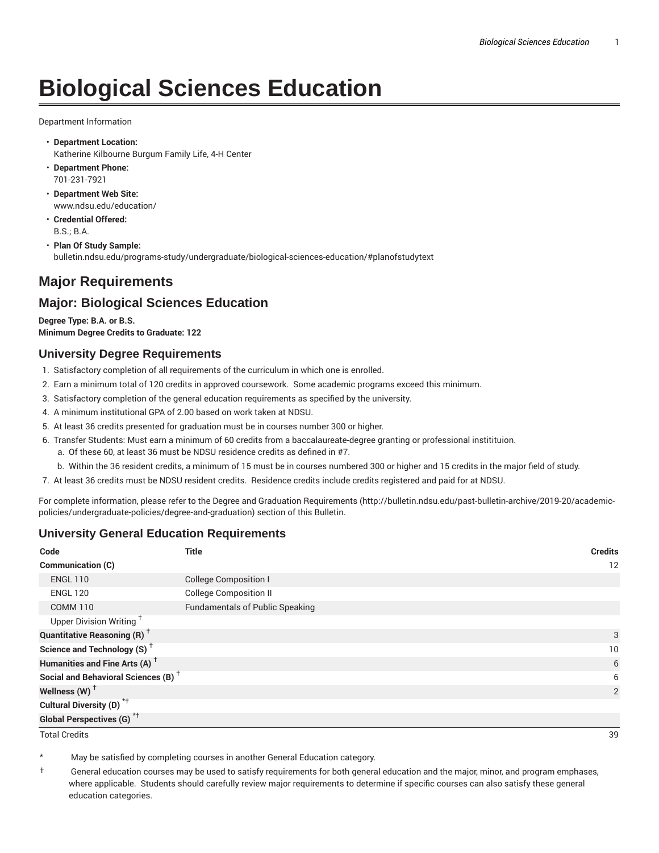# **Biological Sciences Education**

Department Information

- **Department Location:** Katherine Kilbourne Burgum Family Life, 4-H Center
- **Department Phone:** 701-231-7921
- **Department Web Site:** www.ndsu.edu/education/
- **Credential Offered:** B.S.; B.A.
- **Plan Of Study Sample:** bulletin.ndsu.edu/programs-study/undergraduate/biological-sciences-education/#planofstudytext

## **Major Requirements**

### **Major: Biological Sciences Education**

**Degree Type: B.A. or B.S. Minimum Degree Credits to Graduate: 122**

#### **University Degree Requirements**

- 1. Satisfactory completion of all requirements of the curriculum in which one is enrolled.
- 2. Earn a minimum total of 120 credits in approved coursework. Some academic programs exceed this minimum.
- 3. Satisfactory completion of the general education requirements as specified by the university.
- 4. A minimum institutional GPA of 2.00 based on work taken at NDSU.
- 5. At least 36 credits presented for graduation must be in courses number 300 or higher.
- 6. Transfer Students: Must earn a minimum of 60 credits from a baccalaureate-degree granting or professional institituion.
	- a. Of these 60, at least 36 must be NDSU residence credits as defined in #7.
	- b. Within the 36 resident credits, a minimum of 15 must be in courses numbered 300 or higher and 15 credits in the major field of study.
- 7. At least 36 credits must be NDSU resident credits. Residence credits include credits registered and paid for at NDSU.

For complete information, please refer to the Degree and Graduation Requirements (http://bulletin.ndsu.edu/past-bulletin-archive/2019-20/academicpolicies/undergraduate-policies/degree-and-graduation) section of this Bulletin.

#### **University General Education Requirements**

| Code                                            | <b>Title</b>                           | <b>Credits</b> |
|-------------------------------------------------|----------------------------------------|----------------|
| <b>Communication (C)</b>                        |                                        | 12             |
| <b>ENGL 110</b>                                 | <b>College Composition I</b>           |                |
| <b>ENGL 120</b>                                 | <b>College Composition II</b>          |                |
| <b>COMM 110</b>                                 | <b>Fundamentals of Public Speaking</b> |                |
| Upper Division Writing <sup>†</sup>             |                                        |                |
| <b>Quantitative Reasoning (R)</b> <sup>†</sup>  |                                        | 3              |
| Science and Technology (S) <sup>+</sup>         |                                        | 10             |
| Humanities and Fine Arts (A) <sup>+</sup>       |                                        | 6              |
| Social and Behavioral Sciences (B) <sup>+</sup> |                                        | 6              |
| Wellness $(W)$ <sup>+</sup>                     |                                        | 2              |
| Cultural Diversity (D) <sup>*†</sup>            |                                        |                |
| <b>Global Perspectives (G)<sup>*†</sup></b>     |                                        |                |

Total Credits 39

May be satisfied by completing courses in another General Education category.

† General education courses may be used to satisfy requirements for both general education and the major, minor, and program emphases, where applicable. Students should carefully review major requirements to determine if specific courses can also satisfy these general education categories.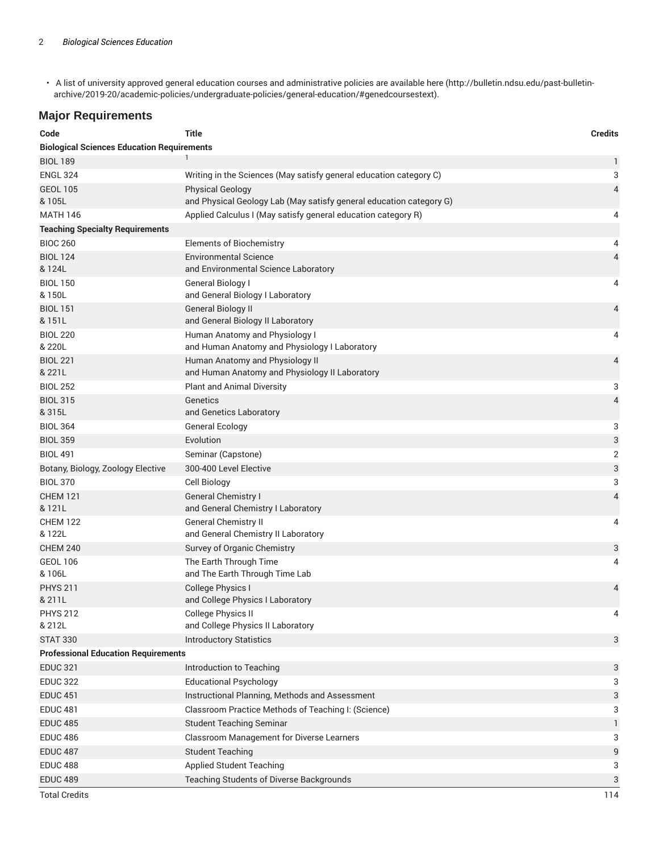• A list of university approved general education courses and administrative policies are available here (http://bulletin.ndsu.edu/past-bulletinarchive/2019-20/academic-policies/undergraduate-policies/general-education/#genedcoursestext).

#### **Major Requirements**

| Code                                              | <b>Title</b>                                                                      | <b>Credits</b> |
|---------------------------------------------------|-----------------------------------------------------------------------------------|----------------|
| <b>Biological Sciences Education Requirements</b> |                                                                                   |                |
| <b>BIOL 189</b>                                   |                                                                                   | 1              |
| <b>ENGL 324</b>                                   | Writing in the Sciences (May satisfy general education category C)                | 3              |
| <b>GEOL 105</b>                                   | <b>Physical Geology</b>                                                           | 4              |
| & 105L                                            | and Physical Geology Lab (May satisfy general education category G)               |                |
| <b>MATH 146</b>                                   | Applied Calculus I (May satisfy general education category R)                     | 4              |
| <b>Teaching Specialty Requirements</b>            |                                                                                   |                |
| <b>BIOC 260</b>                                   | <b>Elements of Biochemistry</b>                                                   | 4              |
| <b>BIOL 124</b><br>& 124L                         | <b>Environmental Science</b><br>and Environmental Science Laboratory              | 4              |
| <b>BIOL 150</b><br>& 150L                         | General Biology I<br>and General Biology I Laboratory                             | 4              |
| <b>BIOL 151</b><br>& 151L                         | <b>General Biology II</b><br>and General Biology II Laboratory                    | 4              |
| <b>BIOL 220</b><br>& 220L                         | Human Anatomy and Physiology I<br>and Human Anatomy and Physiology I Laboratory   | 4              |
| <b>BIOL 221</b><br>& 221L                         | Human Anatomy and Physiology II<br>and Human Anatomy and Physiology II Laboratory | 4              |
| <b>BIOL 252</b>                                   | <b>Plant and Animal Diversity</b>                                                 | 3              |
| <b>BIOL 315</b>                                   | Genetics                                                                          | 4              |
| & 315L                                            | and Genetics Laboratory                                                           |                |
| <b>BIOL 364</b>                                   | <b>General Ecology</b>                                                            | 3              |
| <b>BIOL 359</b>                                   | Evolution                                                                         | 3              |
| <b>BIOL 491</b>                                   | Seminar (Capstone)                                                                | 2              |
| Botany, Biology, Zoology Elective                 | 300-400 Level Elective                                                            | 3              |
| <b>BIOL 370</b>                                   | Cell Biology                                                                      | 3              |
| <b>CHEM 121</b><br>& 121L                         | <b>General Chemistry I</b><br>and General Chemistry I Laboratory                  | 4              |
| <b>CHEM 122</b><br>& 122L                         | <b>General Chemistry II</b><br>and General Chemistry II Laboratory                | 4              |
| <b>CHEM 240</b>                                   | Survey of Organic Chemistry                                                       | 3              |
| <b>GEOL 106</b><br>& 106L                         | The Earth Through Time<br>and The Earth Through Time Lab                          | 4              |
| <b>PHYS 211</b><br>& 211L                         | College Physics I<br>and College Physics I Laboratory                             | 4              |
| <b>PHYS 212</b><br>& 212L                         | College Physics II<br>and College Physics II Laboratory                           | 4              |
| <b>STAT 330</b>                                   | <b>Introductory Statistics</b>                                                    | 3              |
| <b>Professional Education Requirements</b>        |                                                                                   |                |
| <b>EDUC 321</b>                                   | Introduction to Teaching                                                          | 3              |
| <b>EDUC 322</b>                                   | <b>Educational Psychology</b>                                                     | 3              |
| <b>EDUC 451</b>                                   | Instructional Planning, Methods and Assessment                                    | 3              |
| <b>EDUC 481</b>                                   | Classroom Practice Methods of Teaching I: (Science)                               | 3              |
| <b>EDUC 485</b>                                   | <b>Student Teaching Seminar</b>                                                   | 1              |
| <b>EDUC 486</b>                                   | Classroom Management for Diverse Learners                                         | 3              |
| <b>EDUC 487</b>                                   | <b>Student Teaching</b>                                                           | 9              |
| <b>EDUC 488</b>                                   | <b>Applied Student Teaching</b>                                                   | 3              |
| <b>EDUC 489</b>                                   | Teaching Students of Diverse Backgrounds                                          | 3              |
| <b>Total Credits</b>                              |                                                                                   | 114            |
|                                                   |                                                                                   |                |